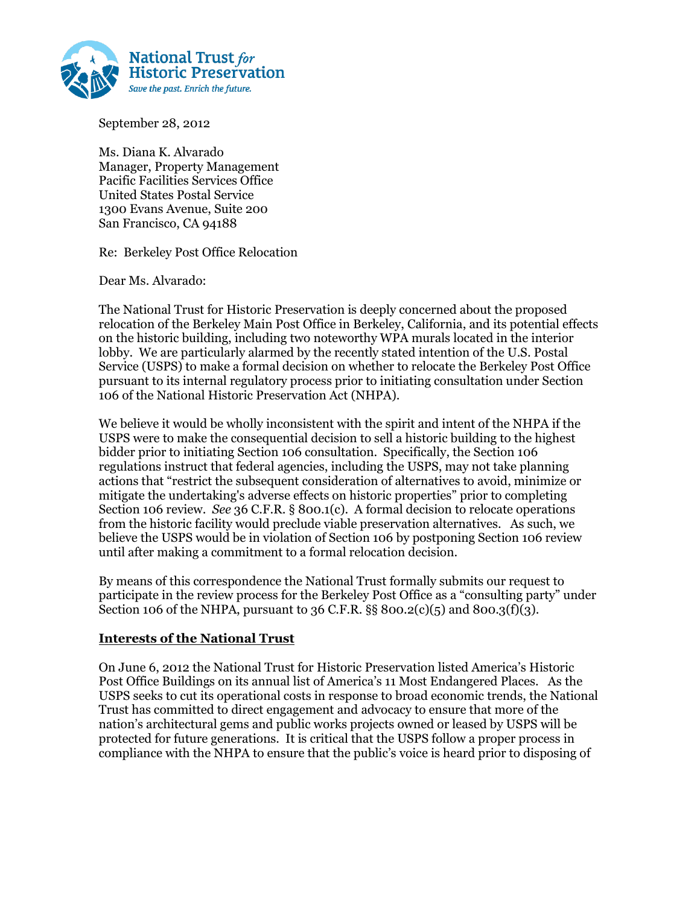

September 28, 2012

Ms. Diana K. Alvarado Manager, Property Management Pacific Facilities Services Office United States Postal Service 1300 Evans Avenue, Suite 200 San Francisco, CA 94188

Re: Berkeley Post Office Relocation

Dear Ms. Alvarado:

The National Trust for Historic Preservation is deeply concerned about the proposed relocation of the Berkeley Main Post Office in Berkeley, California, and its potential effects on the historic building, including two noteworthy WPA murals located in the interior lobby. We are particularly alarmed by the recently stated intention of the U.S. Postal Service (USPS) to make a formal decision on whether to relocate the Berkeley Post Office pursuant to its internal regulatory process prior to initiating consultation under Section 106 of the National Historic Preservation Act (NHPA).

We believe it would be wholly inconsistent with the spirit and intent of the NHPA if the USPS were to make the consequential decision to sell a historic building to the highest bidder prior to initiating Section 106 consultation. Specifically, the Section 106 regulations instruct that federal agencies, including the USPS, may not take planning actions that "restrict the subsequent consideration of alternatives to avoid, minimize or mitigate the undertaking's adverse effects on historic properties" prior to completing Section 106 review. *See* 36 C.F.R. § 800.1(c). A formal decision to relocate operations from the historic facility would preclude viable preservation alternatives. As such, we believe the USPS would be in violation of Section 106 by postponing Section 106 review until after making a commitment to a formal relocation decision.

By means of this correspondence the National Trust formally submits our request to participate in the review process for the Berkeley Post Office as a "consulting party" under Section 106 of the NHPA, pursuant to 36 C.F.R. §§ 800.2(c)(5) and 800.3(f)(3).

#### **Interests of the National Trust**

On June 6, 2012 the National Trust for Historic Preservation listed America's Historic Post Office Buildings on its annual list of America's 11 Most Endangered Places. As the USPS seeks to cut its operational costs in response to broad economic trends, the National Trust has committed to direct engagement and advocacy to ensure that more of the nation's architectural gems and public works projects owned or leased by USPS will be protected for future generations. It is critical that the USPS follow a proper process in compliance with the NHPA to ensure that the public's voice is heard prior to disposing of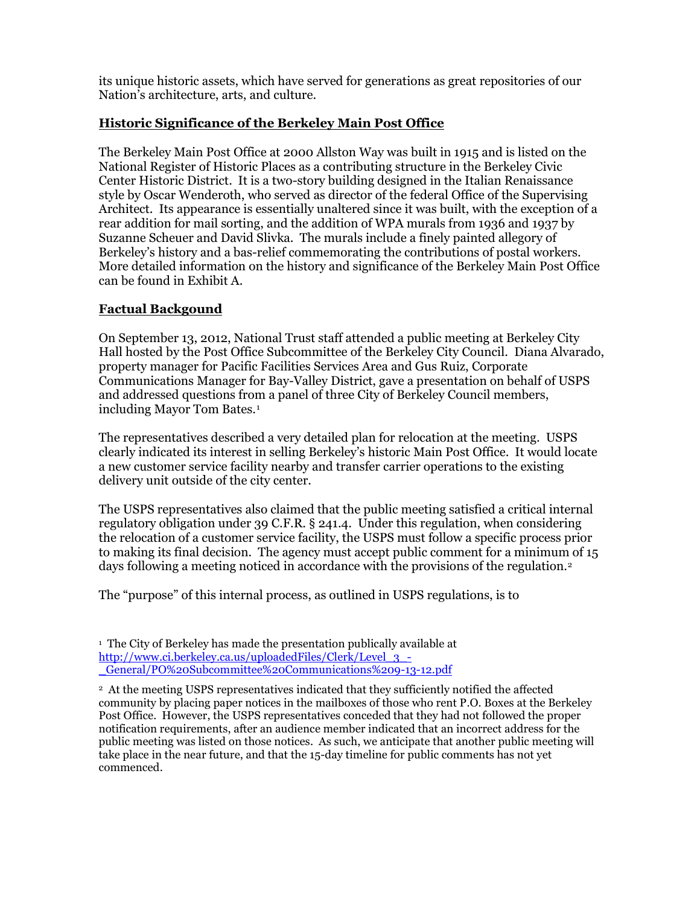its unique historic assets, which have served for generations as great repositories of our Nation's architecture, arts, and culture.

# **Historic Significance of the Berkeley Main Post Office**

The Berkeley Main Post Office at 2000 Allston Way was built in 1915 and is listed on the National Register of Historic Places as a contributing structure in the Berkeley Civic Center Historic District. It is a two-story building designed in the Italian Renaissance style by Oscar Wenderoth, who served as director of the federal Office of the Supervising Architect. Its appearance is essentially unaltered since it was built, with the exception of a rear addition for mail sorting, and the addition of WPA murals from 1936 and 1937 by Suzanne Scheuer and David Slivka. The murals include a finely painted allegory of Berkeley's history and a bas-relief commemorating the contributions of postal workers. More detailed information on the history and significance of the Berkeley Main Post Office can be found in Exhibit A.

# **Factual Backgound**

On September 13, 2012, National Trust staff attended a public meeting at Berkeley City Hall hosted by the Post Office Subcommittee of the Berkeley City Council. Diana Alvarado, property manager for Pacific Facilities Services Area and Gus Ruiz, Corporate Communications Manager for Bay-Valley District, gave a presentation on behalf of USPS and addressed questions from a panel of three City of Berkeley Council members, including Mayor Tom Bates.<sup>1</sup>

The representatives described a very detailed plan for relocation at the meeting. USPS clearly indicated its interest in selling Berkeley's historic Main Post Office. It would locate a new customer service facility nearby and transfer carrier operations to the existing delivery unit outside of the city center.

The USPS representatives also claimed that the public meeting satisfied a critical internal regulatory obligation under 39 C.F.R. § 241.4. Under this regulation, when considering the relocation of a customer service facility, the USPS must follow a specific process prior to making its final decision. The agency must accept public comment for a minimum of 15 days following a meeting noticed in accordance with the provisions of the regulation.<sup>2</sup>

The "purpose" of this internal process, as outlined in USPS regulations, is to

<sup>1</sup> The City of Berkeley has made the presentation publically available at http://www.ci.berkeley.ca.us/uploadedFiles/Clerk/Level\_3\_- \_General/PO%20Subcommittee%20Communications%209-13-12.pdf

<sup>2</sup> At the meeting USPS representatives indicated that they sufficiently notified the affected community by placing paper notices in the mailboxes of those who rent P.O. Boxes at the Berkeley Post Office. However, the USPS representatives conceded that they had not followed the proper notification requirements, after an audience member indicated that an incorrect address for the public meeting was listed on those notices. As such, we anticipate that another public meeting will take place in the near future, and that the 15-day timeline for public comments has not yet commenced.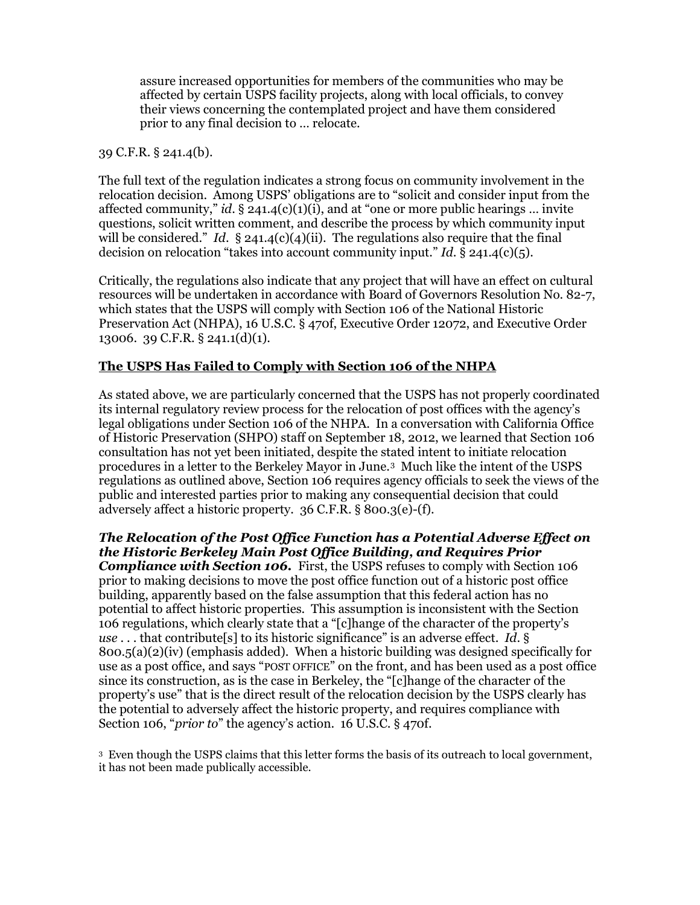assure increased opportunities for members of the communities who may be affected by certain USPS facility projects, along with local officials, to convey their views concerning the contemplated project and have them considered prior to any final decision to … relocate.

#### 39 C.F.R. § 241.4(b).

The full text of the regulation indicates a strong focus on community involvement in the relocation decision. Among USPS' obligations are to "solicit and consider input from the affected community," *id.* § 241.4(c)(1)(i), and at "one or more public hearings ... invite questions, solicit written comment, and describe the process by which community input will be considered." *Id.*  $\S$  241.4(c)(4)(ii). The regulations also require that the final decision on relocation "takes into account community input." *Id*. § 241.4(c)(5).

Critically, the regulations also indicate that any project that will have an effect on cultural resources will be undertaken in accordance with Board of Governors Resolution No. 82-7, which states that the USPS will comply with Section 106 of the National Historic Preservation Act (NHPA), 16 U.S.C. § 470f, Executive Order 12072, and Executive Order 13006. 39 C.F.R. § 241.1(d)(1).

# **The USPS Has Failed to Comply with Section 106 of the NHPA**

As stated above, we are particularly concerned that the USPS has not properly coordinated its internal regulatory review process for the relocation of post offices with the agency's legal obligations under Section 106 of the NHPA. In a conversation with California Office of Historic Preservation (SHPO) staff on September 18, 2012, we learned that Section 106 consultation has not yet been initiated, despite the stated intent to initiate relocation procedures in a letter to the Berkeley Mayor in June.3 Much like the intent of the USPS regulations as outlined above, Section 106 requires agency officials to seek the views of the public and interested parties prior to making any consequential decision that could adversely affect a historic property. 36 C.F.R. § 800.3(e)-(f).

*The Relocation of the Post Office Function has a Potential Adverse Effect on the Historic Berkeley Main Post Office Building, and Requires Prior*  **Compliance with Section 106.** First, the USPS refuses to comply with Section 106 prior to making decisions to move the post office function out of a historic post office building, apparently based on the false assumption that this federal action has no potential to affect historic properties. This assumption is inconsistent with the Section 106 regulations, which clearly state that a "[c]hange of the character of the property's *use* . . . that contribute[s] to its historic significance" is an adverse effect. *Id*. § 800.5(a)(2)(iv) (emphasis added). When a historic building was designed specifically for use as a post office, and says "POST OFFICE" on the front, and has been used as a post office since its construction, as is the case in Berkeley, the "[c]hange of the character of the property's use" that is the direct result of the relocation decision by the USPS clearly has the potential to adversely affect the historic property, and requires compliance with Section 106, "*prior to*" the agency's action. 16 U.S.C. § 470f.

3 Even though the USPS claims that this letter forms the basis of its outreach to local government, it has not been made publically accessible.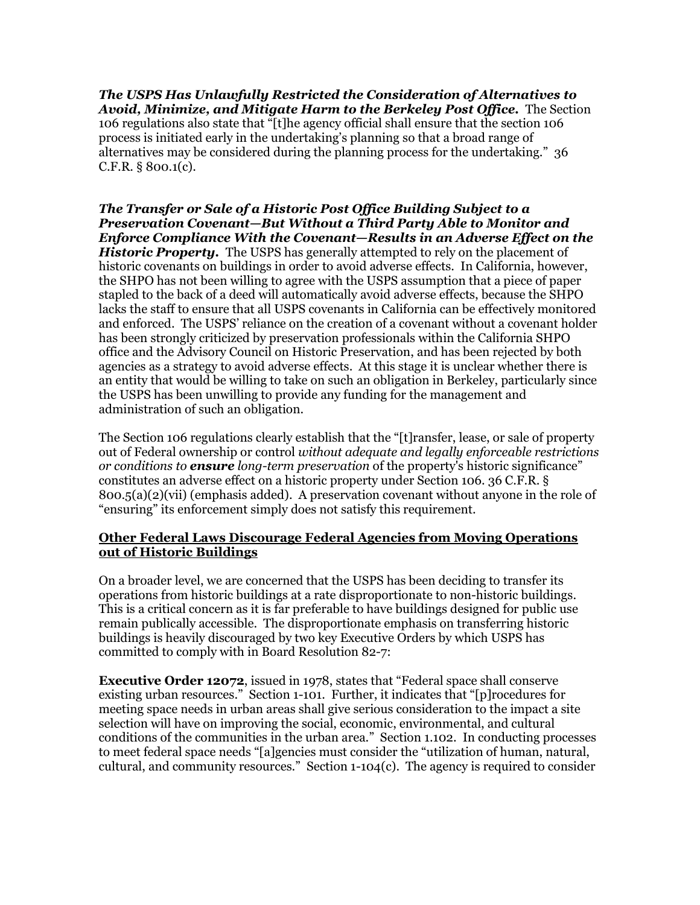*The USPS Has Unlawfully Restricted the Consideration of Alternatives to Avoid, Minimize, and Mitigate Harm to the Berkeley Post Office.* The Section 106 regulations also state that "[t]he agency official shall ensure that the section 106 process is initiated early in the undertaking's planning so that a broad range of alternatives may be considered during the planning process for the undertaking." 36 C.F.R. § 800.1(c).

*The Transfer or Sale of a Historic Post Office Building Subject to a Preservation Covenant—But Without a Third Party Able to Monitor and Enforce Compliance With the Covenant—Results in an Adverse Effect on the Historic Property.* The USPS has generally attempted to rely on the placement of historic covenants on buildings in order to avoid adverse effects. In California, however, the SHPO has not been willing to agree with the USPS assumption that a piece of paper stapled to the back of a deed will automatically avoid adverse effects, because the SHPO lacks the staff to ensure that all USPS covenants in California can be effectively monitored and enforced. The USPS' reliance on the creation of a covenant without a covenant holder has been strongly criticized by preservation professionals within the California SHPO office and the Advisory Council on Historic Preservation, and has been rejected by both agencies as a strategy to avoid adverse effects. At this stage it is unclear whether there is an entity that would be willing to take on such an obligation in Berkeley, particularly since the USPS has been unwilling to provide any funding for the management and administration of such an obligation.

The Section 106 regulations clearly establish that the "[t]ransfer, lease, or sale of property out of Federal ownership or control *without adequate and legally enforceable restrictions or conditions to ensure long-term preservation* of the property's historic significance" constitutes an adverse effect on a historic property under Section 106. 36 C.F.R. § 800.5(a)(2)(vii) (emphasis added). A preservation covenant without anyone in the role of "ensuring" its enforcement simply does not satisfy this requirement.

#### **Other Federal Laws Discourage Federal Agencies from Moving Operations out of Historic Buildings**

On a broader level, we are concerned that the USPS has been deciding to transfer its operations from historic buildings at a rate disproportionate to non-historic buildings. This is a critical concern as it is far preferable to have buildings designed for public use remain publically accessible. The disproportionate emphasis on transferring historic buildings is heavily discouraged by two key Executive Orders by which USPS has committed to comply with in Board Resolution 82-7:

**Executive Order 12072**, issued in 1978, states that "Federal space shall conserve existing urban resources." Section 1-101. Further, it indicates that "[p]rocedures for meeting space needs in urban areas shall give serious consideration to the impact a site selection will have on improving the social, economic, environmental, and cultural conditions of the communities in the urban area." Section 1.102. In conducting processes to meet federal space needs "[a]gencies must consider the "utilization of human, natural, cultural, and community resources." Section 1-104(c). The agency is required to consider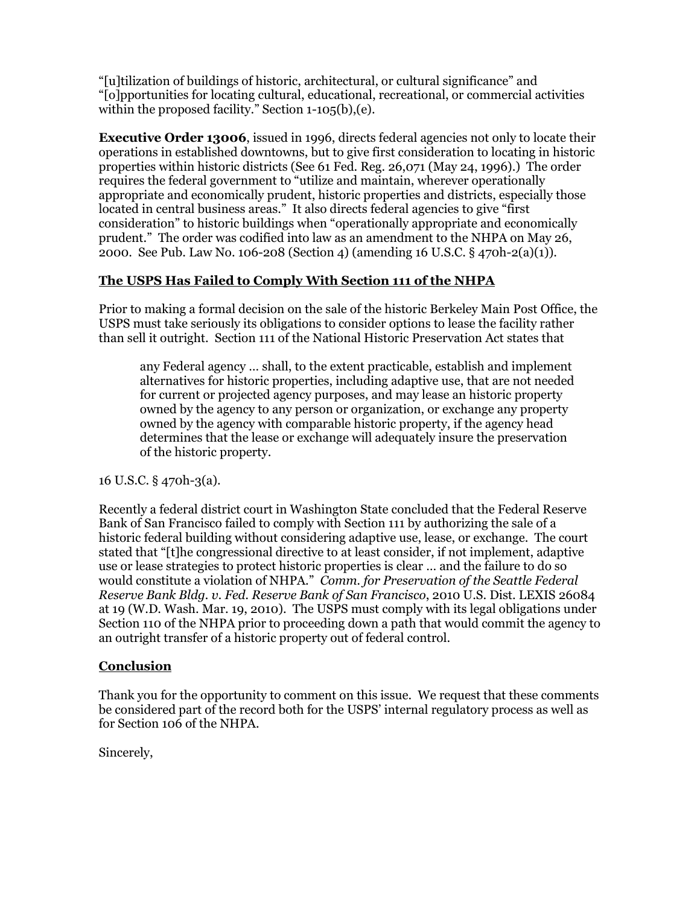"[u]tilization of buildings of historic, architectural, or cultural significance" and "[o]pportunities for locating cultural, educational, recreational, or commercial activities within the proposed facility." Section 1-105(b),(e).

**Executive Order 13006**, issued in 1996, directs federal agencies not only to locate their operations in established downtowns, but to give first consideration to locating in historic properties within historic districts (See 61 Fed. Reg. 26,071 (May 24, 1996).) The order requires the federal government to "utilize and maintain, wherever operationally appropriate and economically prudent, historic properties and districts, especially those located in central business areas." It also directs federal agencies to give "first consideration" to historic buildings when "operationally appropriate and economically prudent." The order was codified into law as an amendment to the NHPA on May 26, 2000. See Pub. Law No. 106-208 (Section 4) (amending 16 U.S.C. § 470h-2(a)(1)).

# **The USPS Has Failed to Comply With Section 111 of the NHPA**

Prior to making a formal decision on the sale of the historic Berkeley Main Post Office, the USPS must take seriously its obligations to consider options to lease the facility rather than sell it outright. Section 111 of the National Historic Preservation Act states that

any Federal agency … shall, to the extent practicable, establish and implement alternatives for historic properties, including adaptive use, that are not needed for current or projected agency purposes, and may lease an historic property owned by the agency to any person or organization, or exchange any property owned by the agency with comparable historic property, if the agency head determines that the lease or exchange will adequately insure the preservation of the historic property.

16 U.S.C. § 470h-3(a).

Recently a federal district court in Washington State concluded that the Federal Reserve Bank of San Francisco failed to comply with Section 111 by authorizing the sale of a historic federal building without considering adaptive use, lease, or exchange. The court stated that "[t]he congressional directive to at least consider, if not implement, adaptive use or lease strategies to protect historic properties is clear … and the failure to do so would constitute a violation of NHPA." *Comm. for Preservation of the Seattle Federal Reserve Bank Bldg. v. Fed. Reserve Bank of San Francisco*, 2010 U.S. Dist. LEXIS 26084 at 19 (W.D. Wash. Mar. 19, 2010). The USPS must comply with its legal obligations under Section 110 of the NHPA prior to proceeding down a path that would commit the agency to an outright transfer of a historic property out of federal control.

#### **Conclusion**

Thank you for the opportunity to comment on this issue. We request that these comments be considered part of the record both for the USPS' internal regulatory process as well as for Section 106 of the NHPA.

Sincerely,